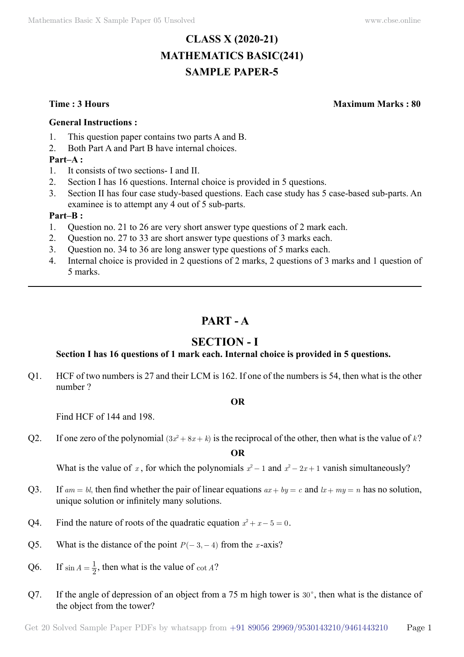# **CLASS X (2020-21) MATHEMATICS BASIC(241) SAMPLE PAPER-5**

**Time : 3 Hours Maximum Marks : 80**

#### **General Instructions :**

- 1. This question paper contains two parts A and B.
- 2. Both Part A and Part B have internal choices.

### **Part–A :**

- 1. It consists of two sections- I and II.
- 2. Section I has 16 questions. Internal choice is provided in 5 questions.
- 3. Section II has four case study-based questions. Each case study has 5 case-based sub-parts. An examinee is to attempt any 4 out of 5 sub-parts.

#### **Part–B :**

- 1. Question no. 21 to 26 are very short answer type questions of 2 mark each.
- 2. Question no. 27 to 33 are short answer type questions of 3 marks each.
- 3. Question no. 34 to 36 are long answer type questions of 5 marks each.
- 4. Internal choice is provided in 2 questions of 2 marks, 2 questions of 3 marks and 1 question of 5 marks.

# **Part - A**

## **Section - I**

## **Section I has 16 questions of 1 mark each. Internal choice is provided in 5 questions.**

Q1. HCF of two numbers is 27 and their LCM is 162. If one of the numbers is 54, then what is the other number ?

#### **O**

Find HCF of 144 and 198.

Q2. If one zero of the polynomial  $(3x^2 + 8x + k)$  is the reciprocal of the other, then what is the value of  $k$ ?

 **O**

What is the value of *x*, for which the polynomials  $x^2 - 1$  and  $x^2 - 2x + 1$  vanish simultaneously?

- Q3. If  $am = bl$ , then find whether the pair of linear equations  $ax + by = c$  and  $lx + my = n$  has no solution, unique solution or infinitely many solutions.
- Q4. Find the nature of roots of the quadratic equation  $x^2 + x 5 = 0$ .
- Q5. What is the distance of the point  $P(-3, -4)$  from the *x*-axis?
- Q6. If  $\sin A = \frac{1}{2}$ , then what is the value of  $\cot A$ ?
- Q7. If the angle of depression of an object from a 75 m high tower is  $30^{\circ}$ , then what is the distance of the object from the tower?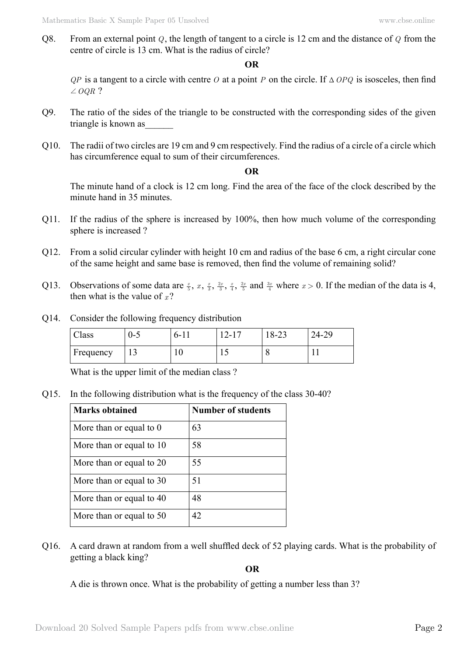Q8. From an external point *Q*, the length of tangent to a circle is 12 cm and the distance of *Q* from the centre of circle is 13 cm. What is the radius of circle?

## **O**

*QP* is a tangent to a circle with centre *O* at a point *P* on the circle. If  $\triangle OPQ$  is isosceles, then find  $\angle$  *OOR* ?

- Q9. The ratio of the sides of the triangle to be constructed with the corresponding sides of the given triangle is known as
- Q10. The radii of two circles are 19 cm and 9 cm respectively. Find the radius of a circle of a circle which has circumference equal to sum of their circumferences.

#### **O**

The minute hand of a clock is 12 cm long. Find the area of the face of the clock described by the minute hand in 35 minutes.

- Q11. If the radius of the sphere is increased by 100%, then how much volume of the corresponding sphere is increased ?
- Q12. From a solid circular cylinder with height 10 cm and radius of the base 6 cm, a right circular cone of the same height and same base is removed, then find the volume of remaining solid?
- Q13. Observations of some data are  $\frac{x}{5}$ ,  $x$ ,  $\frac{x}{3}$ ,  $\frac{2x}{3}$ ,  $\frac{x}{4}$ ,  $\frac{2x}{5}$  and  $\frac{3x}{4}$  where  $x > 0$ . If the median of the data is 4, then what is the value of  $x$ ?
- Q14. Consider the following frequency distribution

| Class     | U-C      | $b -$ | $\sim$<br>$\prime$ – $\prime$ | $\sim$<br>$10 - 25$ | 24-29 |
|-----------|----------|-------|-------------------------------|---------------------|-------|
| Frequency | <b>L</b> | ΙV    |                               |                     |       |

What is the upper limit of the median class ?

Q15. In the following distribution what is the frequency of the class 30-40?

| <b>Marks obtained</b>    | <b>Number of students</b> |
|--------------------------|---------------------------|
| More than or equal to 0  | 63                        |
| More than or equal to 10 | 58                        |
| More than or equal to 20 | 55                        |
| More than or equal to 30 | 51                        |
| More than or equal to 40 | 48                        |
| More than or equal to 50 | 42.                       |

Q16. A card drawn at random from a well shuffled deck of 52 playing cards. What is the probability of getting a black king?

 **O**

A die is thrown once. What is the probability of getting a number less than 3?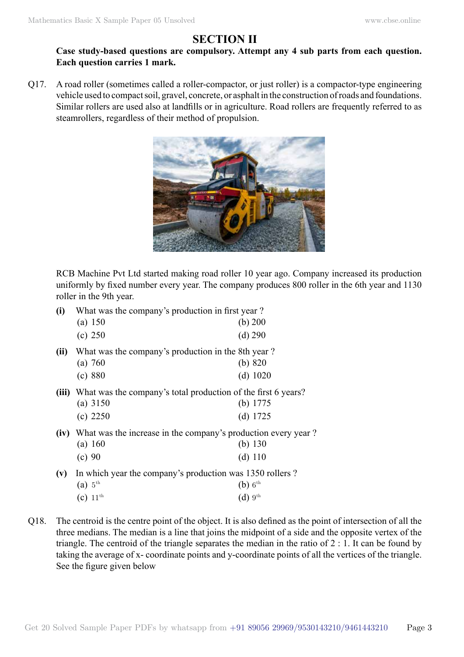# **Section II**

## **Case study-based questions are compulsory. Attempt any 4 sub parts from each question. Each question carries 1 mark.**

Q17. A road roller (sometimes called a roller-compactor, or just roller) is a compactor-type engineering vehicle used to compact soil, gravel, concrete, or asphalt in the construction of roads and foundations. Similar rollers are used also at landfills or in agriculture. Road rollers are frequently referred to as steamrollers, regardless of their method of propulsion.



RCB Machine Pvt Ltd started making road roller 10 year ago. Company increased its production uniformly by fixed number every year. The company produces 800 roller in the 6th year and 1130 roller in the 9th year.

| (i)   | What was the company's production in first year?              |                                                               |  |
|-------|---------------------------------------------------------------|---------------------------------------------------------------|--|
|       | (a) 150                                                       | (b) $200$                                                     |  |
|       | (c) 250                                                       | $(d)$ 290                                                     |  |
| (ii)  | What was the company's production in the 8th year?            |                                                               |  |
|       | (a) 760                                                       | (b) 820                                                       |  |
|       | (c) 880                                                       | $(d)$ 1020                                                    |  |
| (iii) | What was the company's total production of the first 6 years? |                                                               |  |
|       | (a) $3150$                                                    | (b) $1775$                                                    |  |
|       | (c) 2250                                                      | (d) $1725$                                                    |  |
| (iv)  |                                                               | What was the increase in the company's production every year? |  |
|       | (a) 160                                                       | (b) $130$                                                     |  |
|       | (c) 90                                                        | $(d)$ 110                                                     |  |
| (v)   | In which year the company's production was 1350 rollers?      |                                                               |  |
|       | (a) $5^{\text{th}}$                                           | $(b)$ 6 <sup>th</sup>                                         |  |
|       | (c) $11^{\text{th}}$                                          | (d) 9 <sup>th</sup>                                           |  |

Q18. The centroid is the centre point of the object. It is also defined as the point of intersection of all the three medians. The median is a line that joins the midpoint of a side and the opposite vertex of the triangle. The centroid of the triangle separates the median in the ratio of 2 : 1. It can be found by taking the average of x- coordinate points and y-coordinate points of all the vertices of the triangle. See the figure given below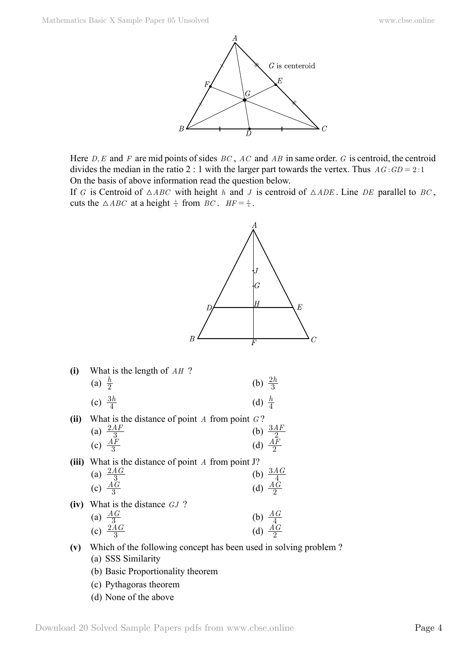

Here *D*, *E* and *F* are mid points of sides *BC*, *AC* and *AB* in same order. *G* is centroid, the centroid divides the median in the ratio 2 : 1 with the larger part towards the vertex. Thus  $AG : GD = 2:1$ On the basis of above information read the question below.

If *G* is Centroid of  $\triangle ABC$  with height *h* and *J* is centroid of  $\triangle ADE$ . Line *DE* parallel to *BC*, cuts the  $\triangle ABC$  at a height  $\frac{h}{4}$  from *BC*.  $HF = \frac{h}{4}$ .



- **(v)** Which of the following concept has been used in solving problem ?
	- (a) SSS Similarity
	- (b) Basic Proportionality theorem
	- (c) Pythagoras theorem
	- (d) None of the above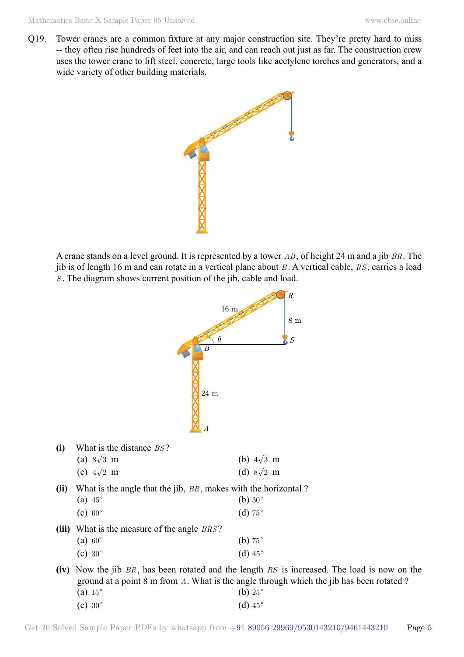Q19. Tower cranes are a common fixture at any major construction site. They're pretty hard to miss -- they often rise hundreds of feet into the air, and can reach out just as far. The construction crew uses the tower crane to lift steel, concrete, large tools like acetylene torches and generators, and a wide variety of other building materials.



A crane stands on a level ground. It is represented by a tower *AB* , of height 24 m and a jib *BR*. The jib is of length 16 m and can rotate in a vertical plane about *B* . A vertical cable, *RS* , carries a load *S* . The diagram shows current position of the jib, cable and load.

|       | $\boldsymbol{B}$<br>$24\ {\rm m}$<br>$\boldsymbol{A}$                                              | R<br>16 <sub>m</sub><br>$8\ {\rm m}$<br>θ<br>$\cal S$                                                                                                                                                                       |
|-------|----------------------------------------------------------------------------------------------------|-----------------------------------------------------------------------------------------------------------------------------------------------------------------------------------------------------------------------------|
| (i)   | What is the distance BS?<br>(a) $8\sqrt{3}$ m<br>(c) $4\sqrt{2}$ m                                 | (b) $4\sqrt{3}$ m<br>(d) $8\sqrt{2}$ m                                                                                                                                                                                      |
| (ii)  | What is the angle that the jib, BR, makes with the horizontal?<br>(a) $45^\circ$<br>$(c) 60^\circ$ | (b) $30^\circ$<br>(d) $75^\circ$                                                                                                                                                                                            |
| (iii) | What is the measure of the angle <i>BRS</i> ?<br>(a) $60^\circ$<br>$(c) 30^\circ$                  | (b) $75^\circ$<br>(d) $45^\circ$                                                                                                                                                                                            |
| (iv)  | (a) $15^\circ$<br>$(c) 30^\circ$                                                                   | Now the jib $BR$ , has been rotated and the length $RS$ is increased. The load is now on the<br>ground at a point 8 m from A. What is the angle through which the jib has been rotated?<br>(b) $25^\circ$<br>(d) $45^\circ$ |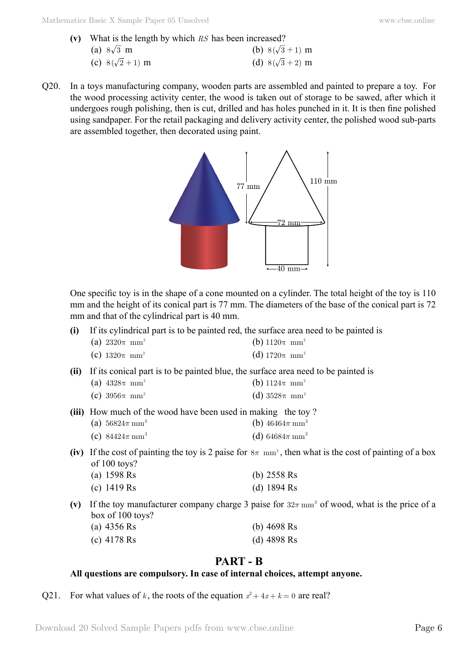- **(v)** What is the length by which *RS* has been increased?
	- (a)  $8\sqrt{3}$  m (b)  $8(\sqrt{3} + 1)$  m (c)  $8(\sqrt{2} + 1)$  m (d)  $8(\sqrt{3} + 2)$  m
- Q20. In a toys manufacturing company, wooden parts are assembled and painted to prepare a toy. For the wood processing activity center, the wood is taken out of storage to be sawed, after which it undergoes rough polishing, then is cut, drilled and has holes punched in it. It is then fine polished using sandpaper. For the retail packaging and delivery activity center, the polished wood sub-parts are assembled together, then decorated using paint.



One specific toy is in the shape of a cone mounted on a cylinder. The total height of the toy is 110 mm and the height of its conical part is 77 mm. The diameters of the base of the conical part is 72 mm and that of the cylindrical part is 40 mm.

**(i)** If its cylindrical part is to be painted red, the surface area need to be painted is

| (a) $2320\pi$ mm <sup>2</sup> | (b) $1120\pi$ mm <sup>2</sup> |
|-------------------------------|-------------------------------|
|-------------------------------|-------------------------------|

- (c)  $1320\pi \text{ mm}^2$  (d)  $1720\pi \text{ mm}^2$
- **(ii)** If its conical part is to be painted blue, the surface area need to be painted is
	- (a)  $4328\pi \text{ mm}^2$  (b)  $1124\pi \text{ mm}^2$
	- (c)  $3956\pi \text{ mm}^2$  (d)  $3528\pi \text{ mm}^2$
- **(iii)** How much of the wood have been used in making the toy?
	- (a)  $56824\pi \text{ mm}^3$  **(b)**  $46464\pi \text{ mm}^3$ 
		- (c)  $84424\pi \text{ mm}^3$  **(d)**  $64684\pi \text{ mm}^3$
- (iv) If the cost of painting the toy is 2 paise for  $8\pi$  mm<sup>2</sup>, then what is the cost of painting of a box of 100 toys?

| (a) $1598$ Rs | (b) $2558$ Rs |  |
|---------------|---------------|--|
| (c) $1419$ Rs | (d) $1894$ Rs |  |

(v) If the toy manufacturer company charge 3 paise for  $32\pi$  mm<sup>3</sup> of wood, what is the price of a box of 100 toys?

| (a) $4356$ Rs | (b) $4698$ Rs |
|---------------|---------------|
| (c) 4178 Rs   | (d) 4898 Rs   |

## **Part - B**

#### **All questions are compulsory. In case of internal choices, attempt anyone.**

Q21. For what values of *k*, the roots of the equation  $x^2 + 4x + k = 0$  are real?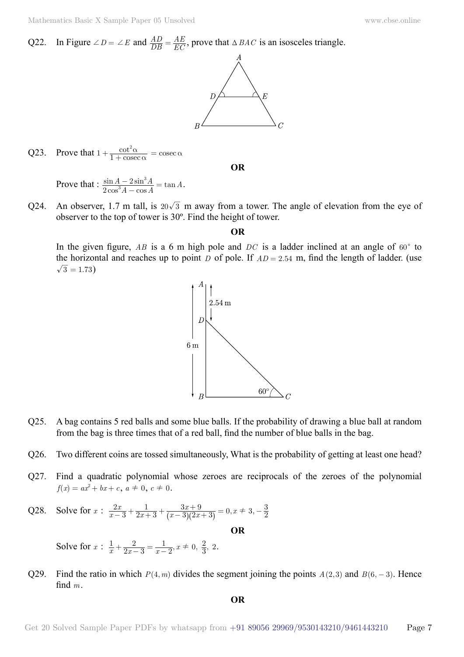Mathematics Basic X Sample Paper 05 Unsolved [www.cbse.online](http://www.cbse.online)

#### Q22. In Figure  $\angle D = \angle E$  and  $\frac{AD}{DB}$  $=$   $\frac{AE}{EC}$ , prove that  $\triangle BAC$  is an isosceles triangle.



#### Q23. Prove that  $1 + \frac{\cot^2 \alpha}{1 + \csc \alpha}$  $+\frac{\cot^2\alpha}{1+\csc\alpha}=\csc\alpha$

 **O**

Prove that :  $\frac{\sin A - 2\sin^3 A}{2\cos^3 A - \cos A} = \tan A$  $\frac{1-2}{3}$ 3  $\frac{-2\sin^3 A}{A-\cos A}=\tan A.$ 

Q24. An observer, 1.7 m tall, is  $20\sqrt{3}$  m away from a tower. The angle of elevation from the eye of observer to the top of tower is 30º. Find the height of tower.

 **O**

In the given figure,  $AB$  is a 6 m high pole and  $DC$  is a ladder inclined at an angle of  $60^{\circ}$  to the horizontal and reaches up to point *D* of pole. If  $AD = 2.54$  m, find the length of ladder. (use  $\sqrt{3} = 1.73$ 



- Q25. A bag contains 5 red balls and some blue balls. If the probability of drawing a blue ball at random from the bag is three times that of a red ball, find the number of blue balls in the bag.
- Q26. Two different coins are tossed simultaneously, What is the probability of getting at least one head?
- Q27. Find a quadratic polynomial whose zeroes are reciprocals of the zeroes of the polynomial  $f(x) = ax^2 + bx + c$ ,  $a \neq 0$ ,  $c \neq 0$ .
- Q28. Solve for  $x$  :  $\frac{2x}{x-3} + \frac{1}{2x+3} + \frac{3x+9}{(x-3)(2x+3)} = 0, x \neq 3,$  $\overline{x+3}$ <sup>-</sup> $\overline{(x-3)(2x)}$  $\frac{2x}{x-3} + \frac{1}{2x+3} + \frac{3x+9}{(x-3)(2x+3)} = 0,$  $2x + 3$ 1  $\frac{2x}{-3} + \frac{1}{2x+3} + \frac{3x+9}{(x-3)(2x+3)} = 0, x \neq 3, -\frac{3}{2}$

Solve for  $x$  :  $\frac{1}{x} + \frac{2}{2x-3} = \frac{1}{x-2}, x \neq 0, \frac{2}{3}$  $2x-3$ 2  $+\frac{2}{2x-3} = \frac{1}{x-2}$ ,  $x \neq 0, \frac{2}{3}$ , 2.

Q29. Find the ratio in which  $P(4, m)$  divides the segment joining the points  $A(2, 3)$  and  $B(6, -3)$ . Hence find *m*.

 **O**

 **O**